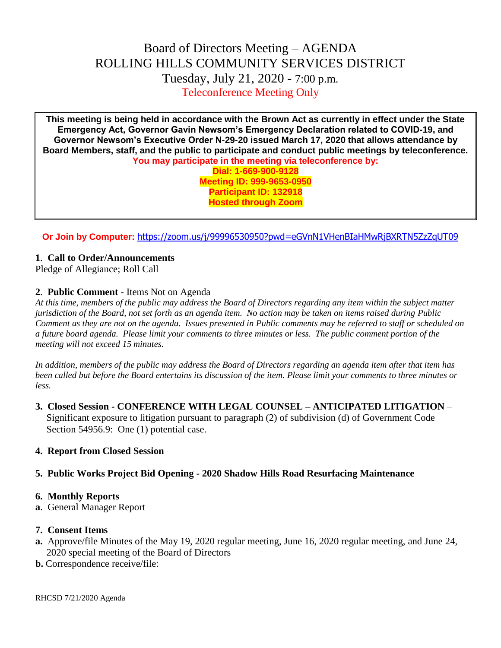# Board of Directors Meeting – AGENDA ROLLING HILLS COMMUNITY SERVICES DISTRICT Tuesday, July 21, 2020 - 7:00 p.m. Teleconference Meeting Only

**This meeting is being held in accordance with the Brown Act as currently in effect under the State Emergency Act, Governor Gavin Newsom's Emergency Declaration related to COVID-19, and Governor Newsom's Executive Order N-29-20 issued March 17, 2020 that allows attendance by Board Members, staff, and the public to participate and conduct public meetings by teleconference. You may participate in the meeting via teleconference by: Dial: 1-669-900-9128 Meeting ID: 999-9653-0950 Participant ID: 132918 Hosted through Zoom**

**Or Join by Computer:** <https://zoom.us/j/99996530950?pwd=eGVnN1VHenBIaHMwRjBXRTN5ZzZqUT09>

## **1**. **Call to Order/Announcements**

Pledge of Allegiance; Roll Call

#### **2**. **Public Comment** - Items Not on Agenda

*At this time, members of the public may address the Board of Directors regarding any item within the subject matter jurisdiction of the Board, not set forth as an agenda item. No action may be taken on items raised during Public Comment as they are not on the agenda. Issues presented in Public comments may be referred to staff or scheduled on a future board agenda. Please limit your comments to three minutes or less. The public comment portion of the meeting will not exceed 15 minutes.*

*In addition, members of the public may address the Board of Directors regarding an agenda item after that item has been called but before the Board entertains its discussion of the item. Please limit your comments to three minutes or less.*

**3. Closed Session - CONFERENCE WITH LEGAL COUNSEL – ANTICIPATED LITIGATION** – Significant exposure to litigation pursuant to paragraph (2) of subdivision (d) of Government Code Section 54956.9: One (1) potential case.

#### **4. Report from Closed Session**

## **5. Public Works Project Bid Opening - 2020 Shadow Hills Road Resurfacing Maintenance**

#### **6. Monthly Reports**

**a**. General Manager Report

#### **7. Consent Items**

- **a.** Approve/file Minutes of the May 19, 2020 regular meeting, June 16, 2020 regular meeting, and June 24, 2020 special meeting of the Board of Directors
- **b.** Correspondence receive/file: